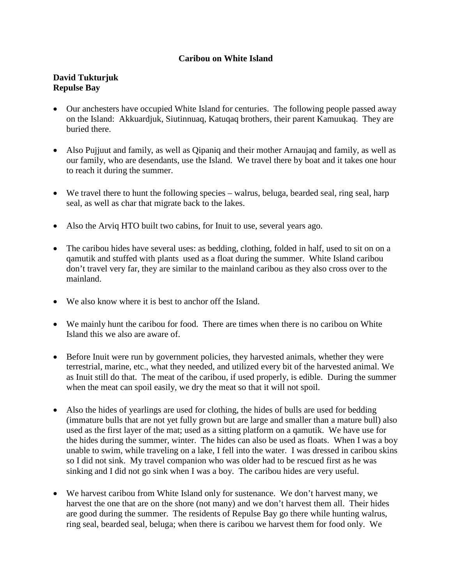## **Caribou on White Island**

## **David Tukturjuk Repulse Bay**

- Our anchesters have occupied White Island for centuries. The following people passed away on the Island: Akkuardjuk, Siutinnuaq, Katuqaq brothers, their parent Kamuukaq. They are buried there.
- Also Pujjuut and family, as well as Qipaniq and their mother Arnaujaq and family, as well as our family, who are desendants, use the Island. We travel there by boat and it takes one hour to reach it during the summer.
- We travel there to hunt the following species walrus, beluga, bearded seal, ring seal, harp seal, as well as char that migrate back to the lakes.
- Also the Arviq HTO built two cabins, for Inuit to use, several years ago.
- The caribou hides have several uses: as bedding, clothing, folded in half, used to sit on on a qamutik and stuffed with plants used as a float during the summer. White Island caribou don't travel very far, they are similar to the mainland caribou as they also cross over to the mainland.
- We also know where it is best to anchor off the Island.
- We mainly hunt the caribou for food. There are times when there is no caribou on White Island this we also are aware of.
- Before Inuit were run by government policies, they harvested animals, whether they were terrestrial, marine, etc., what they needed, and utilized every bit of the harvested animal. We as Inuit still do that. The meat of the caribou, if used properly, is edible. During the summer when the meat can spoil easily, we dry the meat so that it will not spoil.
- Also the hides of yearlings are used for clothing, the hides of bulls are used for bedding (immature bulls that are not yet fully grown but are large and smaller than a mature bull) also used as the first layer of the mat; used as a sitting platform on a qamutik. We have use for the hides during the summer, winter. The hides can also be used as floats. When I was a boy unable to swim, while traveling on a lake, I fell into the water. I was dressed in caribou skins so I did not sink. My travel companion who was older had to be rescued first as he was sinking and I did not go sink when I was a boy. The caribou hides are very useful.
- We harvest caribou from White Island only for sustenance. We don't harvest many, we harvest the one that are on the shore (not many) and we don't harvest them all. Their hides are good during the summer. The residents of Repulse Bay go there while hunting walrus, ring seal, bearded seal, beluga; when there is caribou we harvest them for food only. We